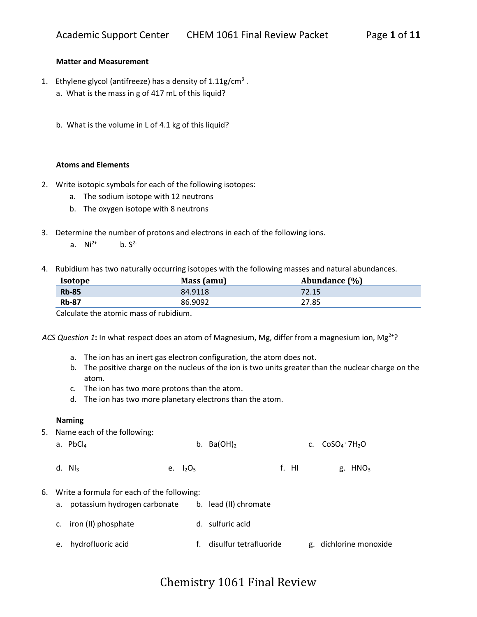#### **Matter and Measurement**

- 1. Ethylene glycol (antifreeze) has a density of  $1.11$ g/cm<sup>3</sup>.
	- a. What is the mass in g of 417 mL of this liquid?
	- b. What is the volume in L of 4.1 kg of this liquid?

#### **Atoms and Elements**

- 2. Write isotopic symbols for each of the following isotopes:
	- a. The sodium isotope with 12 neutrons
	- b. The oxygen isotope with 8 neutrons
- 3. Determine the number of protons and electrons in each of the following ions.
	- a.  $Ni<sup>2+</sup>$  $b. S<sup>2-</sup>$
- 4. Rubidium has two naturally occurring isotopes with the following masses and natural abundances.

| <b>Isotope</b> | Mass (amu) | Abundance (%) |
|----------------|------------|---------------|
| <b>Rb-85</b>   | 84.9118    | 72.15         |
| <b>Rb-87</b>   | 86.9092    | 27.85         |

Calculate the atomic mass of rubidium.

ACS Question 1: In what respect does an atom of Magnesium, Mg, differ from a magnesium ion, Mg<sup>2+</sup>?

- a. The ion has an inert gas electron configuration, the atom does not.
- b. The positive charge on the nucleus of the ion is two units greater than the nuclear charge on the atom.
- c. The ion has two more protons than the atom.
- d. The ion has two more planetary electrons than the atom.

#### **Naming**

5. Name each of the following:

|    | a. $PbCl4$                                                                    |             | b. $Ba(OH)_2$          |       | c. $CoSO_4:7H_2O$      |
|----|-------------------------------------------------------------------------------|-------------|------------------------|-------|------------------------|
|    | $d.$ N <sub>l<sub>3</sub></sub>                                               | e. $I_2O_5$ |                        | f. HI | g. $HNO3$              |
| а. | 6. Write a formula for each of the following:<br>potassium hydrogen carbonate |             | b. lead (II) chromate  |       |                        |
|    | c. iron (II) phosphate                                                        |             | d. sulfuric acid       |       |                        |
| e. | hydrofluoric acid                                                             |             | disulfur tetrafluoride |       | g. dichlorine monoxide |

Chemistry 1061 Final Review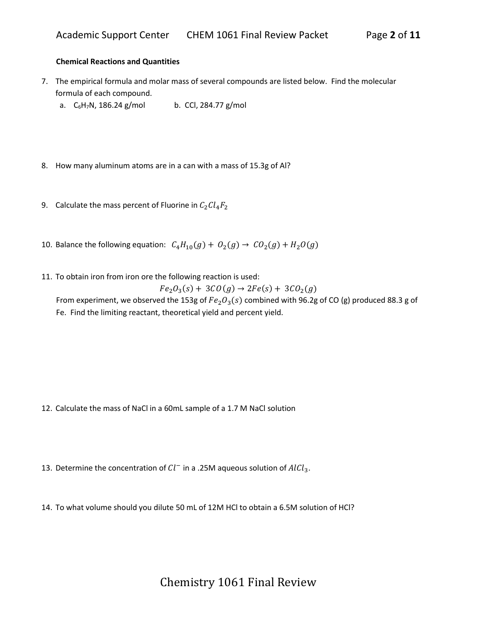#### **Chemical Reactions and Quantities**

- 7. The empirical formula and molar mass of several compounds are listed below. Find the molecular formula of each compound.
	- a.  $C_6H_7N$ , 186.24 g/mol b. CCl, 284.77 g/mol
- 8. How many aluminum atoms are in a can with a mass of 15.3g of Al?
- 9. Calculate the mass percent of Fluorine in  $C_2Cl_4F_2$
- 10. Balance the following equation:  $C_4H_{10}(g) + O_2(g) \rightarrow CO_2(g) + H_2O(g)$
- 11. To obtain iron from iron ore the following reaction is used:

$$
Fe2O3(s) + 3CO(g) \rightarrow 2Fe(s) + 3CO2(g)
$$

From experiment, we observed the 153g of  $Fe_{2}O_{3}(\text{s})$  combined with 96.2g of CO (g) produced 88.3 g of Fe. Find the limiting reactant, theoretical yield and percent yield.

12. Calculate the mass of NaCl in a 60mL sample of a 1.7 M NaCl solution

- 13. Determine the concentration of  $Cl^-$  in a .25M aqueous solution of  $AlCl_3$ .
- 14. To what volume should you dilute 50 mL of 12M HCl to obtain a 6.5M solution of HCl?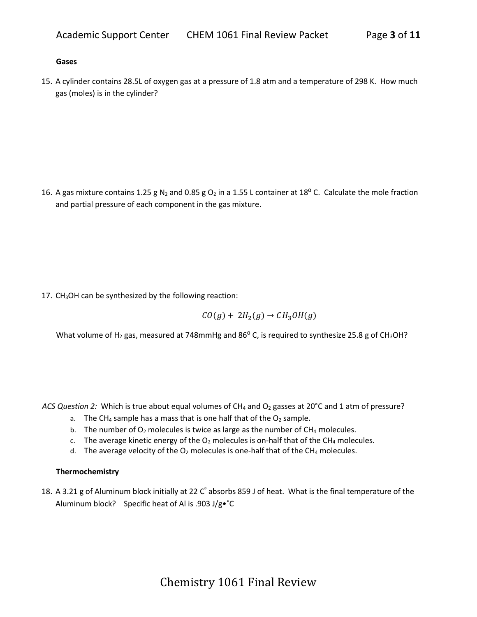#### **Gases**

15. A cylinder contains 28.5L of oxygen gas at a pressure of 1.8 atm and a temperature of 298 K. How much gas (moles) is in the cylinder?

16. A gas mixture contains 1.25 g N<sub>2</sub> and 0.85 g O<sub>2</sub> in a 1.55 L container at 18<sup>o</sup> C. Calculate the mole fraction and partial pressure of each component in the gas mixture.

17. CH<sub>3</sub>OH can be synthesized by the following reaction:

 $CO(g) + 2H<sub>2</sub>(g) \rightarrow CH<sub>3</sub>OH(g)$ 

What volume of H<sub>2</sub> gas, measured at 748mmHg and 86 $^{\circ}$  C, is required to synthesize 25.8 g of CH<sub>3</sub>OH?

ACS Question 2: Which is true about equal volumes of CH<sub>4</sub> and O<sub>2</sub> gasses at 20°C and 1 atm of pressure?

- a. The CH<sub>4</sub> sample has a mass that is one half that of the  $O<sub>2</sub>$  sample.
- b. The number of  $O_2$  molecules is twice as large as the number of  $CH_4$  molecules.
- c. The average kinetic energy of the  $O_2$  molecules is on-half that of the CH<sub>4</sub> molecules.
- d. The average velocity of the  $O_2$  molecules is one-half that of the CH<sub>4</sub> molecules.

#### **Thermochemistry**

18. A 3.21 g of Aluminum block initially at 22 C° absorbs 859 J of heat. What is the final temperature of the Aluminum block? Specific heat of Al is .903 J/g•˚C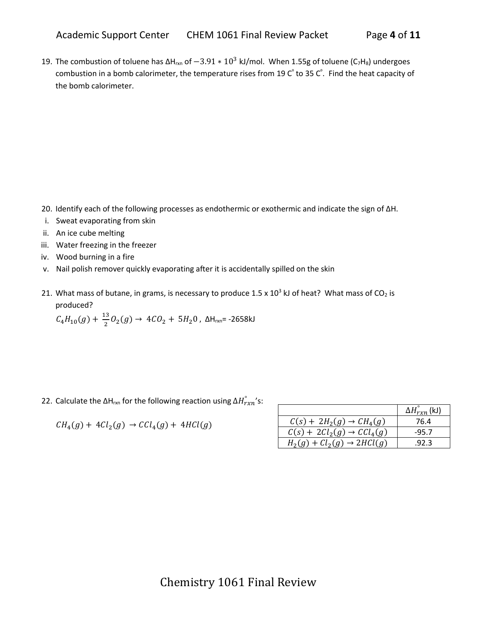19. The combustion of toluene has  $\Delta H_{rxn}$  of  $-3.91 * 10^3$  kJ/mol. When 1.55g of toluene (C<sub>7</sub>H<sub>8</sub>) undergoes combustion in a bomb calorimeter, the temperature rises from 19  $C^{\circ}$  to 35  $C^{\circ}$ . Find the heat capacity of the bomb calorimeter.

20. Identify each of the following processes as endothermic or exothermic and indicate the sign of ∆H.

- i. Sweat evaporating from skin
- ii. An ice cube melting
- iii. Water freezing in the freezer
- iv. Wood burning in a fire
- v. Nail polish remover quickly evaporating after it is accidentally spilled on the skin
- 21. What mass of butane, in grams, is necessary to produce 1.5 x 10<sup>3</sup> kJ of heat? What mass of CO<sub>2</sub> is produced?

 $C_4H_{10}(g) + \frac{13}{2}$  $\frac{15}{2}O_2(g)$  →  $4CO_2 + 5H_20$  , ∆H<sub>rxn</sub>= -2658kJ

22. Calculate the ∆H<sub>rxn</sub> for the following reaction using  $\Delta H_{rxn}^\circ$ 's:

 $CH_4(g) + 4Cl_2(g) \rightarrow CCl_4(g) + 4HCl(g)$ 

|                                                                  | $\Delta H_{rxn}^{\circ}$ (kJ) |
|------------------------------------------------------------------|-------------------------------|
| $C(s) + 2H_2(g) \rightarrow CH_4(g)$                             | 76.4                          |
| $C(s)$ + 2Cl <sub>2</sub> (g) $\rightarrow$ CCl <sub>4</sub> (g) | $-95.7$                       |
| $H_2(g) + Cl_2(g) \rightarrow 2HCl(g)$                           | .92.3                         |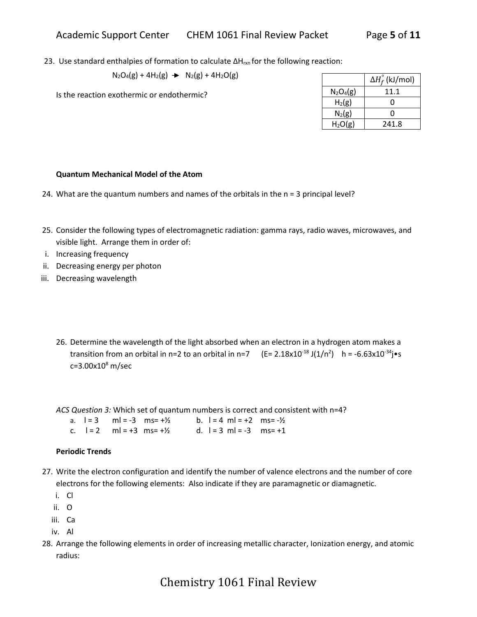23. Use standard enthalpies of formation to calculate ΔH<sub>rxn</sub> for the following reaction:

 $N_2O_4(g) + 4H_2(g)$   $\rightarrow$   $N_2(g) + 4H_2O(g)$ 

Is the reaction exothermic or endothermic?

|                     | $\Delta H_{f}^{\circ}$ (kJ/mol) |
|---------------------|---------------------------------|
| $N_2O_4(g)$         | 11.1                            |
| $H_2(g)$            |                                 |
| $N_2(g)$            | O                               |
| H <sub>2</sub> O(g) | 241.8                           |

### **Quantum Mechanical Model of the Atom**

24. What are the quantum numbers and names of the orbitals in the n = 3 principal level?

- 25. Consider the following types of electromagnetic radiation: gamma rays, radio waves, microwaves, and visible light. Arrange them in order of:
- i. Increasing frequency
- ii. Decreasing energy per photon
- iii. Decreasing wavelength
	- 26. Determine the wavelength of the light absorbed when an electron in a hydrogen atom makes a transition from an orbital in n=2 to an orbital in n=7  $\left( E= 2.18 \times 10^{-18} J(1/n^2) \right)$  h = -6.63x10<sup>-34</sup>j•s c=3.00x10<sup>8</sup> m/sec

*ACS Question 3:* Which set of quantum numbers is correct and consistent with n=4?

|  |                                        | a. $1 = 3$ ml = -3 ms= + $\frac{1}{2}$ | b. $1 = 4$ ml = +2 ms= - $\frac{1}{2}$ |  |
|--|----------------------------------------|----------------------------------------|----------------------------------------|--|
|  | c. $I = 2$ ml = +3 ms= + $\frac{1}{2}$ |                                        | d. $1 = 3$ m $1 = -3$ ms= $+1$         |  |

#### **Periodic Trends**

- 27. Write the electron configuration and identify the number of valence electrons and the number of core electrons for the following elements: Also indicate if they are paramagnetic or diamagnetic.
	- i. Cl
	- ii. O
	- iii. Ca
	- iv. Al
- 28. Arrange the following elements in order of increasing metallic character, Ionization energy, and atomic radius: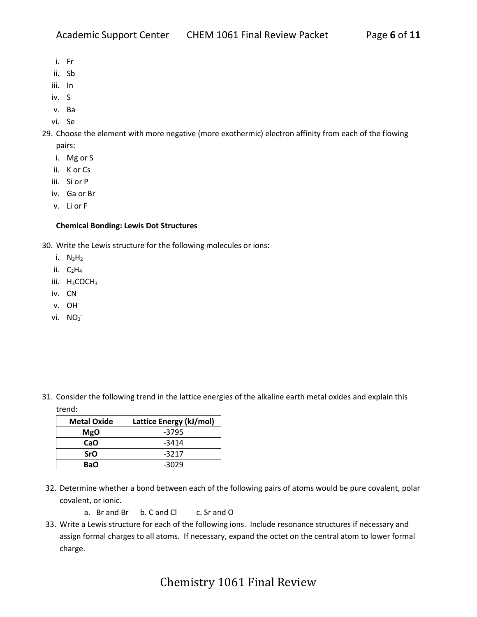- i. Fr
- ii. Sb
- iii. In
- iv. S
- v. Ba
- vi. Se
- 29. Choose the element with more negative (more exothermic) electron affinity from each of the flowing pairs:
	- i. Mg or S
	- ii. K or Cs
	- iii. Si or P
	- iv. Ga or Br
	- v. Li or F

# **Chemical Bonding: Lewis Dot Structures**

30. Write the Lewis structure for the following molecules or ions:

- i.  $N_2H_2$
- ii.  $C_2H_4$
- iii.  $H_3COCH_3$
- iv. CN-
- v. OH-
- vi.  $NO<sub>2</sub>$

31. Consider the following trend in the lattice energies of the alkaline earth metal oxides and explain this trend:

| <b>Metal Oxide</b> | Lattice Energy (kJ/mol) |
|--------------------|-------------------------|
| <b>MgO</b>         | -3795                   |
| CaO                | -3414                   |
| SrO                | -3217                   |
| <b>BaO</b>         | -3029                   |

- 32. Determine whether a bond between each of the following pairs of atoms would be pure covalent, polar covalent, or ionic.
	- a. Br and Br b. C and Cl c. Sr and O
- 33. Write a Lewis structure for each of the following ions. Include resonance structures if necessary and assign formal charges to all atoms. If necessary, expand the octet on the central atom to lower formal charge.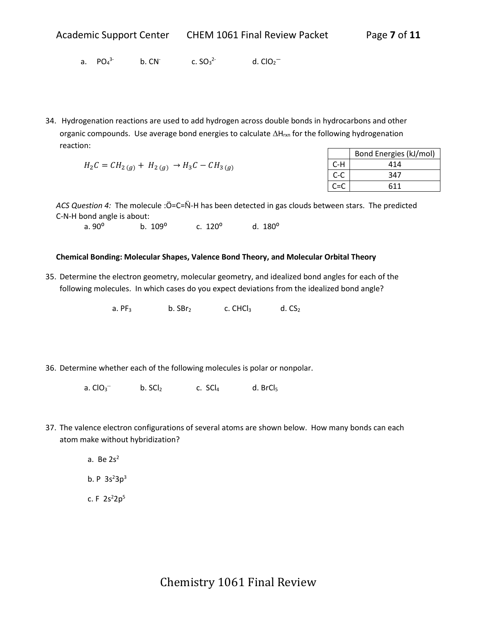a.  $PO<sub>4</sub><sup>3</sup>$  $b. \, \text{CN}^$ c.  $SO_3^{2-}$ 2- d.  $ClO<sub>2</sub>$ <sup>-</sup>

34. Hydrogenation reactions are used to add hydrogen across double bonds in hydrocarbons and other organic compounds. Use average bond energies to calculate  $\Delta H_{rxn}$  for the following hydrogenation reaction:

$$
H_2C = CH_{2(g)} + H_{2(g)} \rightarrow H_3C - CH_{3(g)}
$$

|         | Bond Energies (kJ/mol) |
|---------|------------------------|
| $C-H$   | 414                    |
| $C-C$   | 347                    |
| $C = C$ | 611                    |

ACS Question 4: The molecule : Ö=C=N-H has been detected in gas clouds between stars. The predicted C-N-H bond angle is about:

a.  $90^{\circ}$  b.  $109^{\circ}$  c.  $120^{\circ}$  d.  $180^{\circ}$ 

#### **Chemical Bonding: Molecular Shapes, Valence Bond Theory, and Molecular Orbital Theory**

35. Determine the electron geometry, molecular geometry, and idealized bond angles for each of the following molecules. In which cases do you expect deviations from the idealized bond angle?

a.  $PF_3$  b.  $SBr_2$  c.  $CHCl_3$  d.  $CS_2$ 

36. Determine whether each of the following molecules is polar or nonpolar.

a.  $ClO<sub>3</sub>^$  $b.$  SCl<sub>2</sub> c. SCl<sub>4</sub> d. BrCl<sub>5</sub>

- 37. The valence electron configurations of several atoms are shown below. How many bonds can each atom make without hybridization?
	- a. Be  $2s^2$ b. P  $3s^23p^3$ c.  $F$  2s<sup>2</sup>2p<sup>5</sup>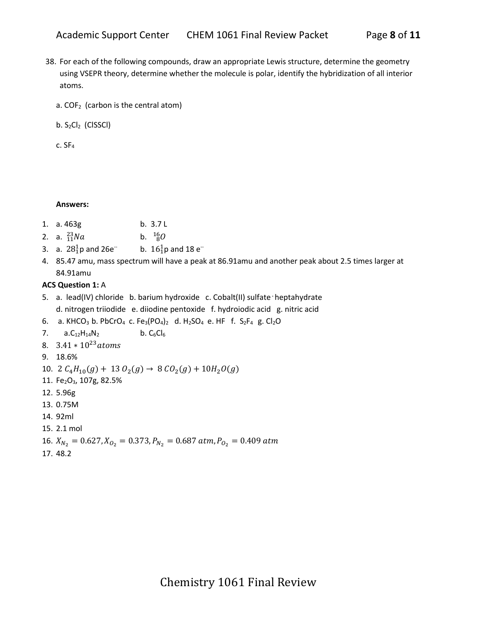- 38. For each of the following compounds, draw an appropriate Lewis structure, determine the geometry using VSEPR theory, determine whether the molecule is polar, identify the hybridization of all interior atoms.
	- a.  $COF<sub>2</sub>$  (carbon is the central atom)
	- $b. S<sub>2</sub>Cl<sub>2</sub>$  (CISSCI)
	- c. SF<sup>4</sup>

#### **Answers:**

- 1. a. 463g b. 3.7 L
- 2. a.  $^{23}_{11}Na$ b.  $^{16}_{8}$ O
- 3. a.  $28_1^1$ p and  $26e^-$  b.  $16_1^1$  $\frac{1}{1}$ p and 18 e $^{-}$
- 4. 85.47 amu, mass spectrum will have a peak at 86.91amu and another peak about 2.5 times larger at 84.91amu

# **ACS Question 1:** A

- 5. a. lead(IV) chloride b. barium hydroxide c. Cobalt(II) sulfate **.** heptahydrate d. nitrogen triiodide e. diiodine pentoxide f. hydroiodic acid g. nitric acid
- 6. a. KHCO<sub>3</sub> b. PbCrO<sub>4</sub> c. Fe<sub>3</sub>(PO<sub>4</sub>)<sub>2</sub> d. H<sub>2</sub>SO<sub>4</sub> e. HF f. S<sub>2</sub>F<sub>4</sub> g. Cl<sub>2</sub>O
- 7.  $a.C_{12}H_{14}N_2$  b.  $C_6Cl_6$
- 8.  $3.41 * 10^{23} atoms$
- 9. 18.6%

10. 
$$
2 C_4 H_{10}(g) + 13 O_2(g) \rightarrow 8 CO_2(g) + 10 H_2 O(g)
$$

- 11. Fe<sub>2</sub>O<sub>3</sub>, 107g, 82.5%
- 12. 5.96g
- 13. 0.75M
- 14. 92ml
- 15. 2.1 mol
- 16.  $X_{N_2} = 0.627, X_{O_2} = 0.373, P_{N_2} = 0.687 \text{ atm}, P_{O_2} = 0.409 \text{ atm}$
- 17. 48.2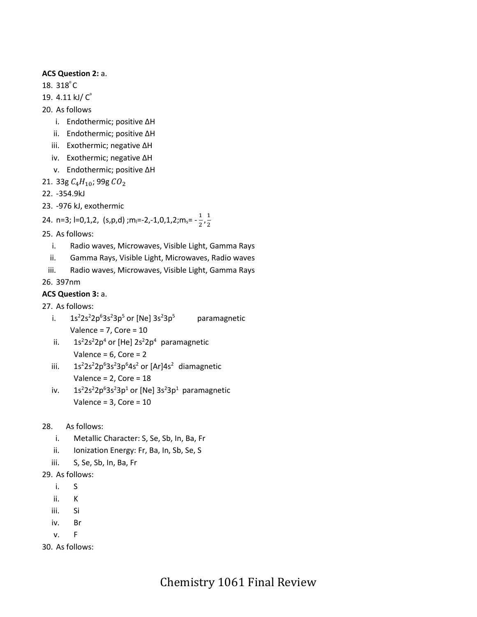# **ACS Question 2:** a.

18. 318<sup>⁰</sup> C

19.  $4.11$  kJ/  $\textsf{C}^\circ$ 

20. As follows

- i. Endothermic; positive ∆H
- ii. Endothermic; positive ∆H
- iii. Exothermic; negative ∆H
- iv. Exothermic; negative ∆H
- v. Endothermic; positive ∆H
- 21. 33g  $C_4H_{10}$ ; 99g  $CO_2$
- 22. -354.9kJ
- 23. -976 kJ, exothermic

24. n=3; l=0,1,2, (s,p,d) ;m<sub>l</sub>=-2,-1,0,1,2;m<sub>s</sub>= - $\frac{1}{2}$  $\frac{1}{2}, \frac{1}{2}$ 2

- 25. As follows:
	- i. Radio waves, Microwaves, Visible Light, Gamma Rays
	- ii. Gamma Rays, Visible Light, Microwaves, Radio waves
	- iii. Radio waves, Microwaves, Visible Light, Gamma Rays
- 26. 397nm

# **ACS Question 3:** a.

# 27. As follows:

- i.  $1s^22s^22p^63s^23p^5$  or [Ne]  $3s^23p^5$  paramagnetic Valence = 7, Core = 10
- ii.  $1s^22s^22p^4$  or [He]  $2s^22p^4$  paramagnetic Valence = 6, Core = 2
- iii.  $1s^22s^22p^63s^23p^64s^2$  or [Ar]4s<sup>2</sup> diamagnetic Valence = 2, Core = 18
- iv.  $1s^22s^22p^63s^23p^1$  or [Ne]  $3s^23p^1$  paramagnetic Valence = 3, Core = 10
- 28. As follows:
	- i. Metallic Character: S, Se, Sb, In, Ba, Fr
	- ii. Ionization Energy: Fr, Ba, In, Sb, Se, S
	- iii. S, Se, Sb, In, Ba, Fr
- 29. As follows:
	- i. S
	- ii. K
	- iii. Si
	- iv. Br
	- v. F

```
30. As follows:
```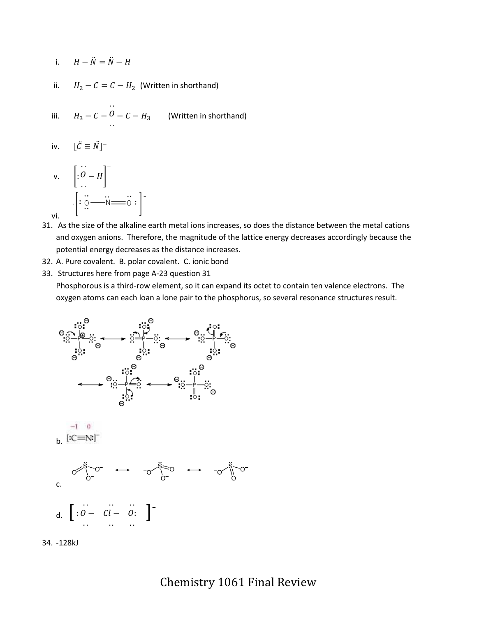- i.  $H \ddot{N} = \ddot{N} H$
- ii.  $H_2 C = C H_2$  (Written in shorthand)
- iii.  $H_3 C -$ . .  $\mathcal{O}$ . .  $- C - H_3$  (Written in shorthand)

iv. 
$$
[\ddot{C} \equiv \ddot{N}]^-
$$

- v. [: . .  $\mathcal{O}$ . .  $- H$ −  $\begin{bmatrix} \vdots & \ddots & \vdots \\ \vdots & \ddots & \ddots \\ \vdots & \ddots & \vdots \end{bmatrix}$
- 31. As the size of the alkaline earth metal ions increases, so does the distance between the metal cations and oxygen anions. Therefore, the magnitude of the lattice energy decreases accordingly because the potential energy decreases as the distance increases.
- 32. A. Pure covalent. B. polar covalent. C. ionic bond

33. Structures here from page A-23 question 31 Phosphorous is a third-row element, so it can expand its octet to contain ten valence electrons. The oxygen atoms can each loan a lone pair to the phosphorus, so several resonance structures result.









# Chemistry 1061 Final Review